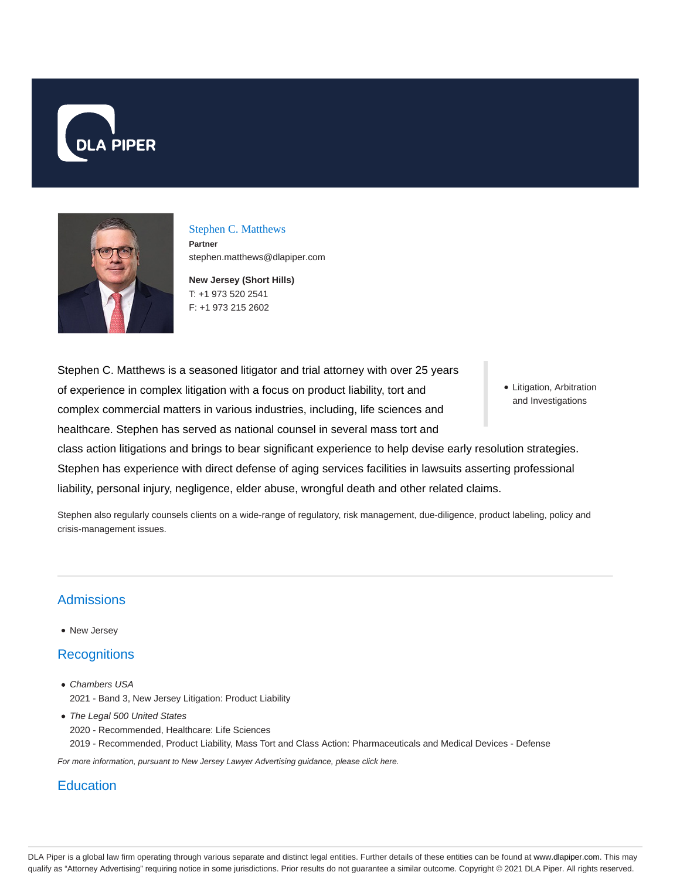



### Stephen C. Matthews

**Partner** stephen.matthews@dlapiper.com

**New Jersey (Short Hills)** T: +1 973 520 2541 F: +1 973 215 2602

Stephen C. Matthews is a seasoned litigator and trial attorney with over 25 years of experience in complex litigation with a focus on product liability, tort and complex commercial matters in various industries, including, life sciences and healthcare. Stephen has served as national counsel in several mass tort and

Litigation, Arbitration and Investigations

class action litigations and brings to bear significant experience to help devise early resolution strategies. Stephen has experience with direct defense of aging services facilities in lawsuits asserting professional liability, personal injury, negligence, elder abuse, wrongful death and other related claims.

Stephen also regularly counsels clients on a wide-range of regulatory, risk management, due-diligence, product labeling, policy and crisis-management issues.

# **Admissions**

• New Jersey

# **Recognitions**

- Chambers USA 2021 - Band 3, New Jersey Litigation: Product Liability
- The Legal 500 United States 2020 - Recommended, Healthcare: Life Sciences 2019 - Recommended, Product Liability, Mass Tort and Class Action: Pharmaceuticals and Medical Devices - Defense

For more information, pursuant to New Jersey Lawyer Advertising guidance, please click here.

## **Education**

DLA Piper is a global law firm operating through various separate and distinct legal entities. Further details of these entities can be found at www.dlapiper.com. This may qualify as "Attorney Advertising" requiring notice in some jurisdictions. Prior results do not guarantee a similar outcome. Copyright © 2021 DLA Piper. All rights reserved.